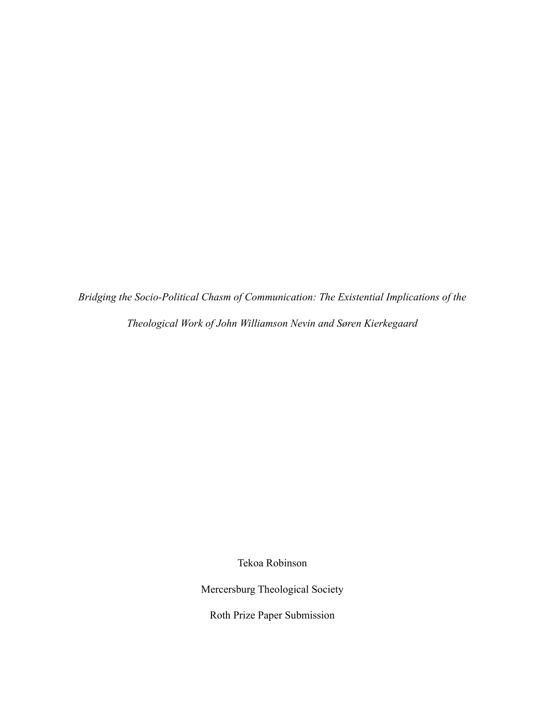*Bridging the Socio-Political Chasm of Communication: The Existential Implications of the Theological Work of John Williamson Nevin and Søren Kierkegaard*

Tekoa Robinson

Mercersburg Theological Society

Roth Prize Paper Submission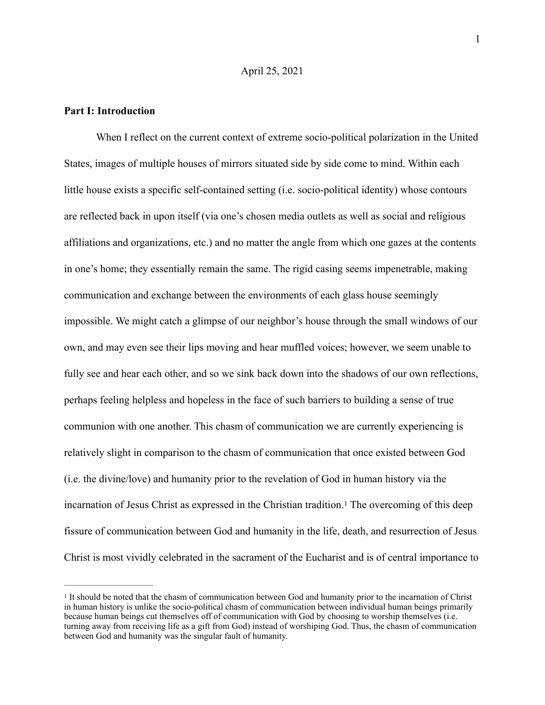### April 25, 2021

#### **Part I: Introduction**

When I reflect on the current context of extreme socio-political polarization in the United States, images of multiple houses of mirrors situated side by side come to mind. Within each little house exists a specific self-contained setting (i.e. socio-political identity) whose contours are reflected back in upon itself (via one's chosen media outlets as well as social and religious affiliations and organizations, etc.) and no matter the angle from which one gazes at the contents in one's home; they essentially remain the same. The rigid casing seems impenetrable, making communication and exchange between the environments of each glass house seemingly impossible. We might catch a glimpse of our neighbor's house through the small windows of our own, and may even see their lips moving and hear muffled voices; however, we seem unable to fully see and hear each other, and so we sink back down into the shadows of our own reflections, perhaps feeling helpless and hopeless in the face of such barriers to building a sense of true communion with one another. This chasm of communication we are currently experiencing is relatively slight in comparison to the chasm of communication that once existed between God (i.e. the divine/love) and humanity prior to the revelation of God in human history via the incarnationof Jesus Christ as expressed in the Christian tradition.<sup>[1](#page-1-0)</sup> The overcoming of this deep fissure of communication between God and humanity in the life, death, and resurrection of Jesus Christ is most vividly celebrated in the sacrament of the Eucharist and is of central importance to

1

<span id="page-1-1"></span><span id="page-1-0"></span>It should be noted that the chasm of communication between God and humanity prior to the incarnation of Christ [1](#page-1-1) in human history is unlike the socio-political chasm of communication between individual human beings primarily because human beings cut themselves off of communication with God by choosing to worship themselves (i.e. turning away from receiving life as a gift from God) instead of worshiping God. Thus, the chasm of communication between God and humanity was the singular fault of humanity.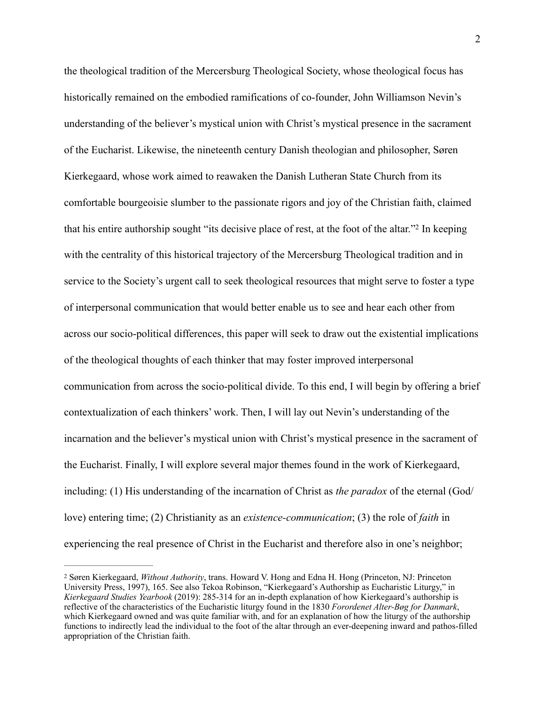<span id="page-2-1"></span>the theological tradition of the Mercersburg Theological Society, whose theological focus has historically remained on the embodied ramifications of co-founder, John Williamson Nevin's understanding of the believer's mystical union with Christ's mystical presence in the sacrament of the Eucharist. Likewise, the nineteenth century Danish theologian and philosopher, Søren Kierkegaard, whose work aimed to reawaken the Danish Lutheran State Church from its comfortable bourgeoisie slumber to the passionate rigors and joy of the Christian faith, claimed thathis entire authorship sought "its decisive place of rest, at the foot of the altar."<sup>[2](#page-2-0)</sup> In keeping with the centrality of this historical trajectory of the Mercersburg Theological tradition and in service to the Society's urgent call to seek theological resources that might serve to foster a type of interpersonal communication that would better enable us to see and hear each other from across our socio-political differences, this paper will seek to draw out the existential implications of the theological thoughts of each thinker that may foster improved interpersonal communication from across the socio-political divide. To this end, I will begin by offering a brief contextualization of each thinkers' work. Then, I will lay out Nevin's understanding of the incarnation and the believer's mystical union with Christ's mystical presence in the sacrament of the Eucharist. Finally, I will explore several major themes found in the work of Kierkegaard, including: (1) His understanding of the incarnation of Christ as *the paradox* of the eternal (God/ love) entering time; (2) Christianity as an *existence-communication*; (3) the role of *faith* in experiencing the real presence of Christ in the Eucharist and therefore also in one's neighbor;

<span id="page-2-0"></span>Søren Kierkegaard, *Without Authority*, trans. Howard V. Hong and Edna H. Hong (Princeton, NJ: Princeton [2](#page-2-1) University Press, 1997), 165. See also Tekoa Robinson, "Kierkegaard's Authorship as Eucharistic Liturgy," in *Kierkegaard Studies Yearbook* (2019): 285-314 for an in-depth explanation of how Kierkegaard's authorship is reflective of the characteristics of the Eucharistic liturgy found in the 1830 *Forordenet Alter-Bøg for Danmark*, which Kierkegaard owned and was quite familiar with, and for an explanation of how the liturgy of the authorship functions to indirectly lead the individual to the foot of the altar through an ever-deepening inward and pathos-filled appropriation of the Christian faith.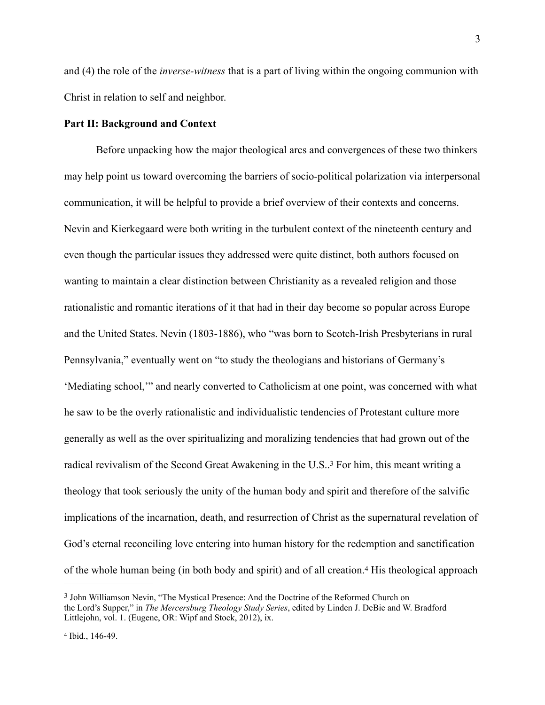and (4) the role of the *inverse-witness* that is a part of living within the ongoing communion with Christ in relation to self and neighbor.

### **Part II: Background and Context**

Before unpacking how the major theological arcs and convergences of these two thinkers may help point us toward overcoming the barriers of socio-political polarization via interpersonal communication, it will be helpful to provide a brief overview of their contexts and concerns. Nevin and Kierkegaard were both writing in the turbulent context of the nineteenth century and even though the particular issues they addressed were quite distinct, both authors focused on wanting to maintain a clear distinction between Christianity as a revealed religion and those rationalistic and romantic iterations of it that had in their day become so popular across Europe and the United States. Nevin (1803-1886), who "was born to Scotch-Irish Presbyterians in rural Pennsylvania," eventually went on "to study the theologians and historians of Germany's 'Mediating school,'" and nearly converted to Catholicism at one point, was concerned with what he saw to be the overly rationalistic and individualistic tendencies of Protestant culture more generally as well as the over spiritualizing and moralizing tendencies that had grown out of the radicalrevivalism of the Second Great Awakening in the U.S..<sup>[3](#page-3-0)</sup> For him, this meant writing a theology that took seriously the unity of the human body and spirit and therefore of the salvific implications of the incarnation, death, and resurrection of Christ as the supernatural revelation of God's eternal reconciling love entering into human history for the redemption and sanctification ofthe whole human being (in both body and spirit) and of all creation.<sup>[4](#page-3-1)</sup> His theological approach

<span id="page-3-3"></span><span id="page-3-2"></span><span id="page-3-0"></span><sup>&</sup>lt;sup>[3](#page-3-2)</sup> John Williamson Nevin, "The Mystical Presence: And the Doctrine of the Reformed Church on the Lord's Supper," in *The Mercersburg Theology Study Series*, edited by Linden J. DeBie and W. Bradford Littlejohn, vol. 1. (Eugene, OR: Wipf and Stock, 2012), ix.

<span id="page-3-1"></span><sup>&</sup>lt;sup>[4](#page-3-3)</sup> Ibid., 146-49.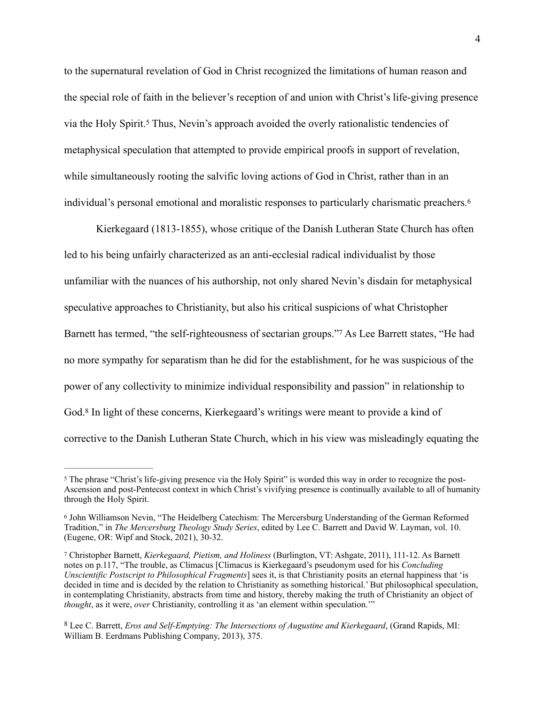<span id="page-4-4"></span>to the supernatural revelation of God in Christ recognized the limitations of human reason and the special role of faith in the believer's reception of and union with Christ's life-giving presence via the Holy Spirit.Thus, Nevin's approach avoided the overly rationalistic tendencies of [5](#page-4-0) metaphysical speculation that attempted to provide empirical proofs in support of revelation, while simultaneously rooting the salvific loving actions of God in Christ, rather than in an individual's personal emotional and moralistic responses to particularly charismatic preachers[.6](#page-4-1)

<span id="page-4-6"></span><span id="page-4-5"></span>Kierkegaard (1813-1855), whose critique of the Danish Lutheran State Church has often led to his being unfairly characterized as an anti-ecclesial radical individualist by those unfamiliar with the nuances of his authorship, not only shared Nevin's disdain for metaphysical speculative approaches to Christianity, but also his critical suspicions of what Christopher Barnetthas termed, "the self-righteousness of sectarian groups." As Lee Barrett states, "He had no more sympathy for separatism than he did for the establishment, for he was suspicious of the power of any collectivity to minimize individual responsibility and passion" in relationship to God.<sup>8</sup>In light of these concerns, Kierkegaard's writings were meant to provide a kind of corrective to the Danish Lutheran State Church, which in his view was misleadingly equating the

<span id="page-4-7"></span><span id="page-4-0"></span><sup>&</sup>lt;sup>[5](#page-4-4)</sup> The phrase "Christ's life-giving presence via the Holy Spirit" is worded this way in order to recognize the post-Ascension and post-Pentecost context in which Christ's vivifying presence is continually available to all of humanity through the Holy Spirit.

<span id="page-4-1"></span><sup>&</sup>lt;sup>[6](#page-4-5)</sup> John Williamson Nevin, "The Heidelberg Catechism: The Mercersburg Understanding of the German Reformed Tradition," in *The Mercersburg Theology Study Series*, edited by Lee C. Barrett and David W. Layman, vol. 10. (Eugene, OR: Wipf and Stock, 2021), 30-32.

<span id="page-4-2"></span>Christopher Barnett, *Kierkegaard, Pietism, and Holiness* (Burlington, VT: Ashgate, 2011), 111-12. As Barnett [7](#page-4-6) notes on p.117, "The trouble, as Climacus [Climacus is Kierkegaard's pseudonym used for his *Concluding Unscientific Postscript to Philosophical Fragments*] sees it, is that Christianity posits an eternal happiness that 'is decided in time and is decided by the relation to Christianity as something historical.' But philosophical speculation, in contemplating Christianity, abstracts from time and history, thereby making the truth of Christianity an object of *thought*, as it were, *over* Christianity, controlling it as 'an element within speculation.'"

<span id="page-4-3"></span>Lee C. Barrett, *Eros and Self-Emptying: The Intersections of Augustine and Kierkegaard*, (Grand Rapids, MI: [8](#page-4-7) William B. Eerdmans Publishing Company, 2013), 375.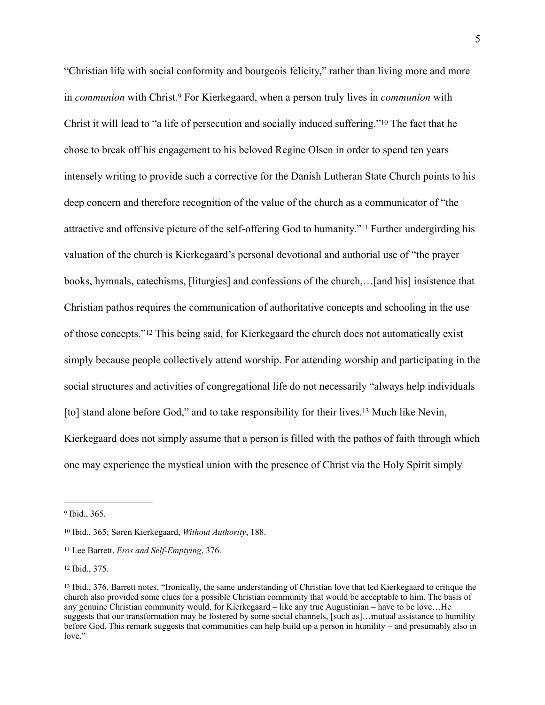<span id="page-5-7"></span><span id="page-5-6"></span><span id="page-5-5"></span>"Christian life with social conformity and bourgeois felicity," rather than living more and more in*communion* with Christ.<sup>9</sup> For Kierkegaard, when a person truly lives in *communion* with Christ it will lead to "a life of persecution and socially induced suffering."<sup>[10](#page-5-1)</sup> The fact that he chose to break off his engagement to his beloved Regine Olsen in order to spend ten years intensely writing to provide such a corrective for the Danish Lutheran State Church points to his deep concern and therefore recognition of the value of the church as a communicator of "the attractiveand offensive picture of the self-offering God to humanity."<sup>[11](#page-5-2)</sup> Further undergirding his valuation of the church is Kierkegaard's personal devotional and authorial use of "the prayer books, hymnals, catechisms, [liturgies] and confessions of the church,…[and his] insistence that Christian pathos requires the communication of authoritative concepts and schooling in the use ofthose concepts."<sup>[12](#page-5-3)</sup> This being said, for Kierkegaard the church does not automatically exist simply because people collectively attend worship. For attending worship and participating in the social structures and activities of congregational life do not necessarily "always help individuals [to]stand alone before God," and to take responsibility for their lives.<sup>[13](#page-5-4)</sup> Much like Nevin, Kierkegaard does not simply assume that a person is filled with the pathos of faith through which one may experience the mystical union with the presence of Christ via the Holy Spirit simply

<span id="page-5-9"></span><span id="page-5-8"></span><span id="page-5-0"></span> $9$  Ibid., 365.

<span id="page-5-1"></span><sup>&</sup>lt;sup>[10](#page-5-6)</sup> Ibid., 365; Søren Kierkegaard, *Without Authority*, 188.

<span id="page-5-2"></span>Lee Barrett, *Eros and Self-Emptying*, 376. [11](#page-5-7)

<span id="page-5-3"></span>[<sup>12</sup>](#page-5-8) Ibid., 375.

<span id="page-5-4"></span><sup>&</sup>lt;sup>13</sup>Ibid., 376. Barrett notes, "Ironically, the same understanding of Christian love that led Kierkegaard to critique the church also provided some clues for a possible Christian community that would be acceptable to him. The basis of any genuine Christian community would, for Kierkegaard – like any true Augustinian – have to be love…He suggests that our transformation may be fostered by some social channels, [such as]…mutual assistance to humility before God. This remark suggests that communities can help build up a person in humility – and presumably also in love."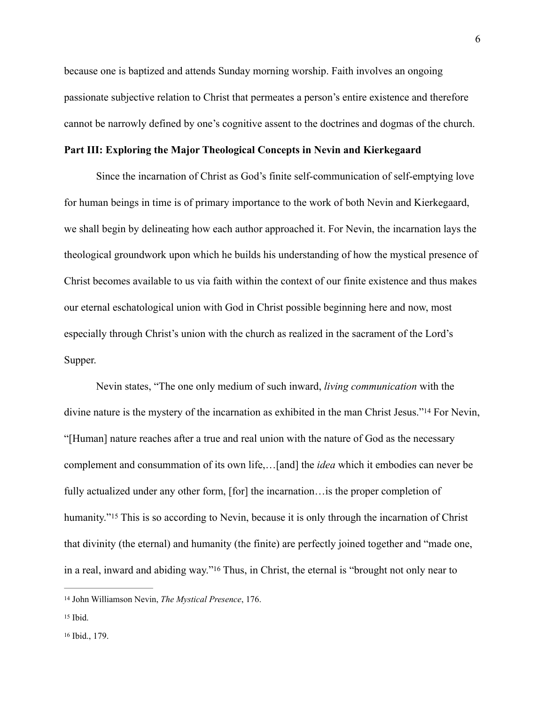because one is baptized and attends Sunday morning worship. Faith involves an ongoing passionate subjective relation to Christ that permeates a person's entire existence and therefore cannot be narrowly defined by one's cognitive assent to the doctrines and dogmas of the church.

### **Part III: Exploring the Major Theological Concepts in Nevin and Kierkegaard**

Since the incarnation of Christ as God's finite self-communication of self-emptying love for human beings in time is of primary importance to the work of both Nevin and Kierkegaard, we shall begin by delineating how each author approached it. For Nevin, the incarnation lays the theological groundwork upon which he builds his understanding of how the mystical presence of Christ becomes available to us via faith within the context of our finite existence and thus makes our eternal eschatological union with God in Christ possible beginning here and now, most especially through Christ's union with the church as realized in the sacrament of the Lord's Supper.

<span id="page-6-3"></span>Nevin states, "The one only medium of such inward, *living communication* with the divine nature is the mystery of the incarnation as exhibited in the man Christ Jesus.["](#page-6-0)<sup>[14](#page-6-0)</sup> For Nevin, "[Human] nature reaches after a true and real union with the nature of God as the necessary complement and consummation of its own life,…[and] the *idea* which it embodies can never be fully actualized under any other form, [for] the incarnation... is the proper completion of humanity."<sup>15</sup>This is so according to Nevin, because it is only through the incarnation of Christ that divinity (the eternal) and humanity (the finite) are perfectly joined together and "made one, ina real, inward and abiding way."<sup>[16](#page-6-2)</sup> Thus, in Christ, the eternal is "brought not only near to

<span id="page-6-5"></span><span id="page-6-4"></span><span id="page-6-0"></span><sup>&</sup>lt;sup>[14](#page-6-3)</sup> John Williamson Nevin, *The Mystical Presence*, 176.

<span id="page-6-2"></span><span id="page-6-1"></span> $15$  Ibid.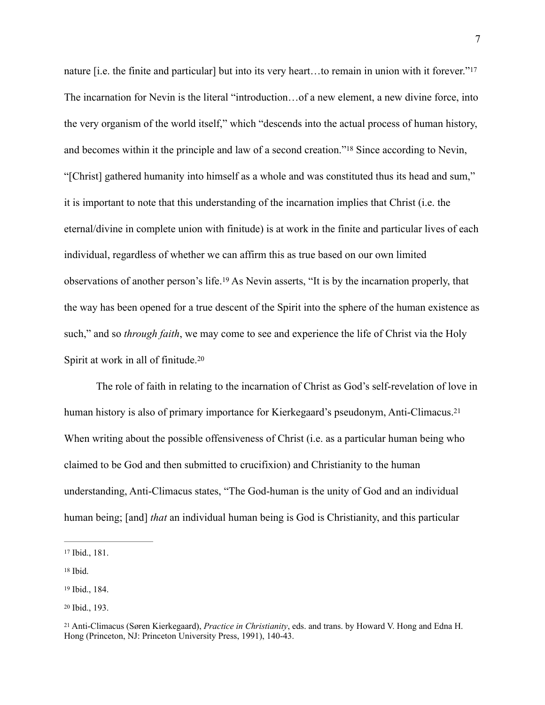<span id="page-7-6"></span><span id="page-7-5"></span>nature [i.e. the finite and particular] but into its very heart...to remain in union with it forever."<sup>17</sup> The incarnation for Nevin is the literal "introduction…of a new element, a new divine force, into the very organism of the world itself," which "descends into the actual process of human history, and becomes within it the principle and law of a second creation.["](#page-7-1)<sup>[18](#page-7-1)</sup> Since according to Nevin, "[Christ] gathered humanity into himself as a whole and was constituted thus its head and sum," it is important to note that this understanding of the incarnation implies that Christ (i.e. the eternal/divine in complete union with finitude) is at work in the finite and particular lives of each individual, regardless of whether we can affirm this as true based on our own limited observationsof another person's life.<sup>[19](#page-7-2)</sup> As Nevin asserts, "It is by the incarnation properly, that the way has been opened for a true descent of the Spirit into the sphere of the human existence as such," and so *through faith*, we may come to see and experience the life of Christ via the Holy Spirit at work in all of finitude.[20](#page-7-3)

<span id="page-7-9"></span><span id="page-7-8"></span><span id="page-7-7"></span>The role of faith in relating to the incarnation of Christ as God's self-revelation of love in human history is also of primary importance for Kierkegaard's pseudonym, Anti-Climacus.<sup>[21](#page-7-4)</sup> When writing about the possible offensiveness of Christ (i.e. as a particular human being who claimed to be God and then submitted to crucifixion) and Christianity to the human understanding, Anti-Climacus states, "The God-human is the unity of God and an individual human being; [and] *that* an individual human being is God is Christianity, and this particular

<span id="page-7-0"></span><sup>17</sup>Ibid., 181.

<span id="page-7-1"></span> $18$  Ibid.

<span id="page-7-2"></span><sup>&</sup>lt;sup>[19](#page-7-7)</sup> Ibid., 184.

<span id="page-7-3"></span><sup>&</sup>lt;sup>[20](#page-7-8)</sup> Ibid., 193.

<span id="page-7-4"></span><sup>&</sup>lt;sup>[21](#page-7-9)</sup> Anti-Climacus (Søren Kierkegaard), *Practice in Christianity*, eds. and trans. by Howard V. Hong and Edna H. Hong (Princeton, NJ: Princeton University Press, 1991), 140-43.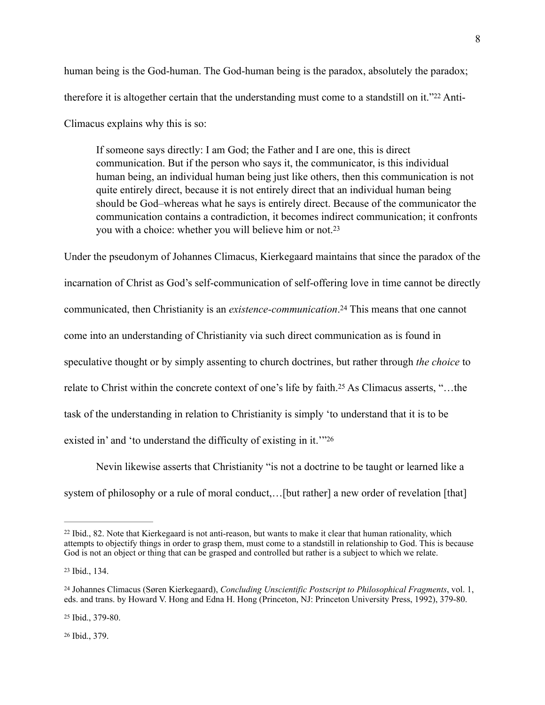human being is the God-human. The God-human being is the paradox, absolutely the paradox; thereforeit is altogether certain that the understanding must come to a standstill on it."22 Anti-Climacus explains why this is so:

<span id="page-8-6"></span><span id="page-8-5"></span>If someone says directly: I am God; the Father and I are one, this is direct communication. But if the person who says it, the communicator, is this individual human being, an individual human being just like others, then this communication is not quite entirely direct, because it is not entirely direct that an individual human being should be God–whereas what he says is entirely direct. Because of the communicator the communication contains a contradiction, it becomes indirect communication; it confronts you with a choice: whether you will believe him or not[.23](#page-8-1)

<span id="page-8-7"></span>Under the pseudonym of Johannes Climacus, Kierkegaard maintains that since the paradox of the incarnation of Christ as God's self-communication of self-offering love in time cannot be directly communicated, then Christianity is an *existence-communication*[.](#page-8-2)<sup>[24](#page-8-2)</sup> This means that one cannot come into an understanding of Christianity via such direct communication as is found in speculative thought or by simply assenting to church doctrines, but rather through *the choice* to relateto Christ within the concrete context of one's life by faith.<sup>[25](#page-8-3)</sup> As Climacus asserts, "...the task of the understanding in relation to Christianity is simply 'to understand that it is to be existed in' and 'to understand the difficulty of existing in it.'["26](#page-8-4)

<span id="page-8-9"></span><span id="page-8-8"></span>Nevin likewise asserts that Christianity "is not a doctrine to be taught or learned like a system of philosophy or a rule of moral conduct,... [but rather] a new order of revelation [that]

<span id="page-8-4"></span><sup>[26](#page-8-9)</sup> Ibid., 379.

<span id="page-8-0"></span><sup>&</sup>lt;sup>22</sup>Ibid., 82. Note that Kierkegaard is not anti-reason, but wants to make it clear that human rationality, which attempts to objectify things in order to grasp them, must come to a standstill in relationship to God. This is because God is not an object or thing that can be grasped and controlled but rather is a subject to which we relate.

<span id="page-8-1"></span><sup>&</sup>lt;sup>[23](#page-8-6)</sup> Ibid., 134.

<span id="page-8-2"></span>Johannes Climacus (Søren Kierkegaard), *Concluding Unscientific Postscript to Philosophical Fragments*, vol. 1, [24](#page-8-7) eds. and trans. by Howard V. Hong and Edna H. Hong (Princeton, NJ: Princeton University Press, 1992), 379-80.

<span id="page-8-3"></span><sup>&</sup>lt;sup>[25](#page-8-8)</sup> Ibid., 379-80.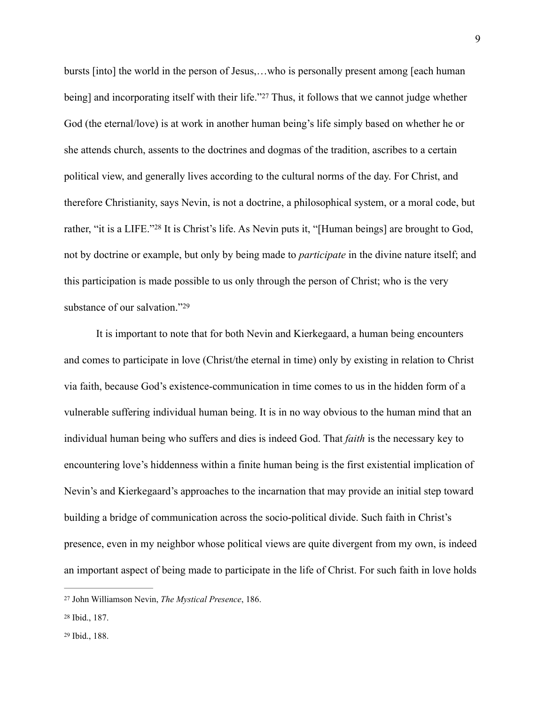<span id="page-9-3"></span>bursts [into] the world in the person of Jesus,…who is personally present among [each human being] and incorporating itself with their life.["](#page-9-0)<sup>[27](#page-9-0)</sup> Thus, it follows that we cannot judge whether God (the eternal/love) is at work in another human being's life simply based on whether he or she attends church, assents to the doctrines and dogmas of the tradition, ascribes to a certain political view, and generally lives according to the cultural norms of the day. For Christ, and therefore Christianity, says Nevin, is not a doctrine, a philosophical system, or a moral code, but rather, ["](#page-9-1)it is a LIFE."<sup>[28](#page-9-1)</sup> It is Christ's life. As Nevin puts it, "[Human beings] are brought to God, not by doctrine or example, but only by being made to *participate* in the divine nature itself; and this participation is made possible to us only through the person of Christ; who is the very substance of our salvation.["29](#page-9-2)

<span id="page-9-5"></span><span id="page-9-4"></span>It is important to note that for both Nevin and Kierkegaard, a human being encounters and comes to participate in love (Christ/the eternal in time) only by existing in relation to Christ via faith, because God's existence-communication in time comes to us in the hidden form of a vulnerable suffering individual human being. It is in no way obvious to the human mind that an individual human being who suffers and dies is indeed God. That *faith* is the necessary key to encountering love's hiddenness within a finite human being is the first existential implication of Nevin's and Kierkegaard's approaches to the incarnation that may provide an initial step toward building a bridge of communication across the socio-political divide. Such faith in Christ's presence, even in my neighbor whose political views are quite divergent from my own, is indeed an important aspect of being made to participate in the life of Christ. For such faith in love holds

<span id="page-9-0"></span>John Williamson Nevin, *The Mystical Presence*, 186. [27](#page-9-3)

<span id="page-9-2"></span><span id="page-9-1"></span><sup>&</sup>lt;sup>[28](#page-9-4)</sup> Ibid., 187.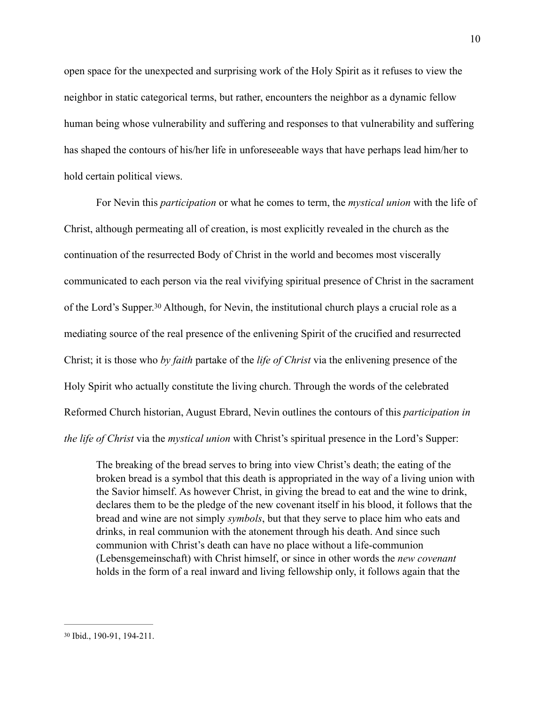open space for the unexpected and surprising work of the Holy Spirit as it refuses to view the neighbor in static categorical terms, but rather, encounters the neighbor as a dynamic fellow human being whose vulnerability and suffering and responses to that vulnerability and suffering has shaped the contours of his/her life in unforeseeable ways that have perhaps lead him/her to hold certain political views.

<span id="page-10-1"></span>For Nevin this *participation* or what he comes to term, the *mystical union* with the life of Christ, although permeating all of creation, is most explicitly revealed in the church as the continuation of the resurrected Body of Christ in the world and becomes most viscerally communicated to each person via the real vivifying spiritual presence of Christ in the sacrament of the Lord's Supper[.](#page-10-0)<sup>[30](#page-10-0)</sup> Although, for Nevin, the institutional church plays a crucial role as a mediating source of the real presence of the enlivening Spirit of the crucified and resurrected Christ; it is those who *by faith* partake of the *life of Christ* via the enlivening presence of the Holy Spirit who actually constitute the living church. Through the words of the celebrated Reformed Church historian, August Ebrard, Nevin outlines the contours of this *participation in the life of Christ* via the *mystical union* with Christ's spiritual presence in the Lord's Supper:

The breaking of the bread serves to bring into view Christ's death; the eating of the broken bread is a symbol that this death is appropriated in the way of a living union with the Savior himself. As however Christ, in giving the bread to eat and the wine to drink, declares them to be the pledge of the new covenant itself in his blood, it follows that the bread and wine are not simply *symbols*, but that they serve to place him who eats and drinks, in real communion with the atonement through his death. And since such communion with Christ's death can have no place without a life-communion (Lebensgemeinschaft) with Christ himself, or since in other words the *new covenant* holds in the form of a real inward and living fellowship only, it follows again that the

<span id="page-10-0"></span><sup>&</sup>lt;sup>[30](#page-10-1)</sup> Ibid., 190-91, 194-211.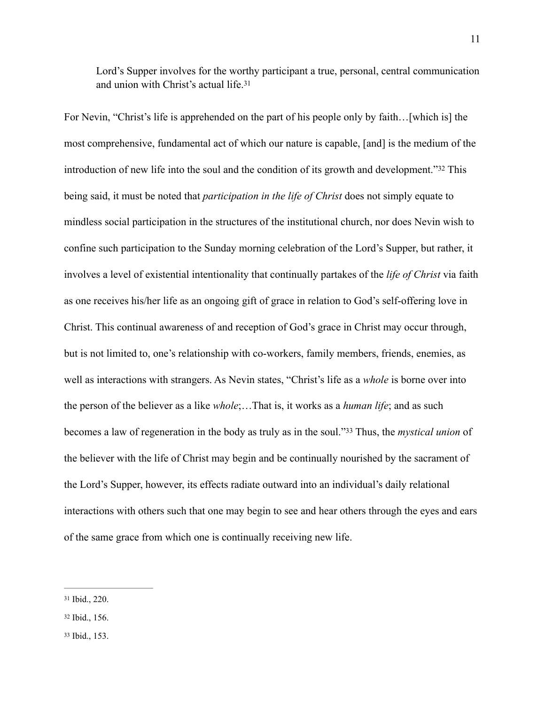<span id="page-11-4"></span><span id="page-11-3"></span>Lord's Supper involves for the worthy participant a true, personal, central communication and union with Christ's actual life.[31](#page-11-0)

For Nevin, "Christ's life is apprehended on the part of his people only by faith…[which is] the most comprehensive, fundamental act of which our nature is capable, [and] is the medium of the introduction of new life into the soul and the condition of its growth and development.["](#page-11-1) $32$  This being said, it must be noted that *participation in the life of Christ* does not simply equate to mindless social participation in the structures of the institutional church, nor does Nevin wish to confine such participation to the Sunday morning celebration of the Lord's Supper, but rather, it involves a level of existential intentionality that continually partakes of the *life of Christ* via faith as one receives his/her life as an ongoing gift of grace in relation to God's self-offering love in Christ. This continual awareness of and reception of God's grace in Christ may occur through, but is not limited to, one's relationship with co-workers, family members, friends, enemies, as well as interactions with strangers. As Nevin states, "Christ's life as a *whole* is borne over into the person of the believer as a like *whole*;…That is, it works as a *human life*; and as such becomes a law of regeneration in the body as truly as in the soul."Thus, the *mystical union* of 33 the believer with the life of Christ may begin and be continually nourished by the sacrament of the Lord's Supper, however, its effects radiate outward into an individual's daily relational interactions with others such that one may begin to see and hear others through the eyes and ears of the same grace from which one is continually receiving new life.

<span id="page-11-5"></span><span id="page-11-0"></span> $31$ Ibid., 220.

<span id="page-11-1"></span>[<sup>32</sup>](#page-11-4) Ibid., 156.

<span id="page-11-2"></span>[<sup>33</sup>](#page-11-5) Ibid., 153.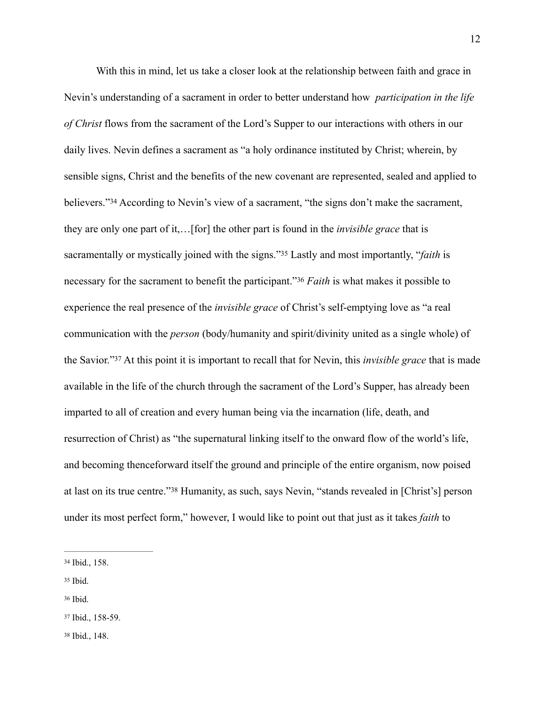<span id="page-12-6"></span><span id="page-12-5"></span>With this in mind, let us take a closer look at the relationship between faith and grace in Nevin's understanding of a sacrament in order to better understand how *participation in the life of Christ* flows from the sacrament of the Lord's Supper to our interactions with others in our daily lives. Nevin defines a sacrament as "a holy ordinance instituted by Christ; wherein, by sensible signs, Christ and the benefits of the new covenant are represented, sealed and applied to believers."<sup>34</sup>According to Nevin's view of a sacrament, "the signs don't make the sacrament, they are only one part of it,…[for] the other part is found in the *invisible grace* that is sacramentallyor mystically joined with the signs."<sup>35</sup> Lastly and most importantly, "*faith* is necessary for the sacrament to benefit the participant."<sup>[36](#page-12-2)</sup> Faith is what makes it possible to experience the real presence of the *invisible grace* of Christ's self-emptying love as "a real communication with the *person* (body/humanity and spirit/divinity united as a single whole) of theSavior."<sup>37</sup> At this point it is important to recall that for Nevin, this *invisible grace* that is made available in the life of the church through the sacrament of the Lord's Supper, has already been imparted to all of creation and every human being via the incarnation (life, death, and resurrection of Christ) as "the supernatural linking itself to the onward flow of the world's life, and becoming thenceforward itself the ground and principle of the entire organism, now poised atlast on its true centre."<sup>[38](#page-12-4)</sup> Humanity, as such, says Nevin, "stands revealed in [Christ's] person under its most perfect form," however, I would like to point out that just as it takes *faith* to

- <span id="page-12-1"></span> $35$  Ibid.
- <span id="page-12-2"></span>[36](#page-12-7) Ibid.
- <span id="page-12-3"></span>[37](#page-12-8) Ibid., 158-59.

<span id="page-12-7"></span>12

<span id="page-12-4"></span>[38](#page-12-9) Ibid., 148.

<span id="page-12-9"></span><span id="page-12-8"></span><span id="page-12-0"></span>[<sup>34</sup>](#page-12-5) Ibid., 158.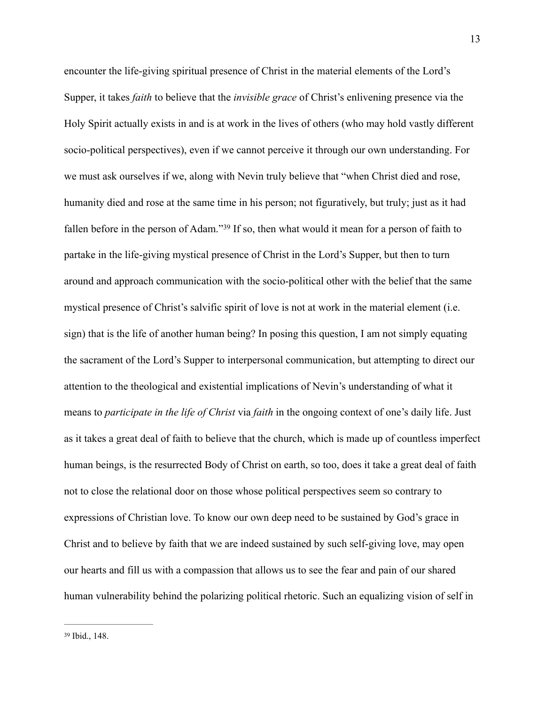<span id="page-13-1"></span><span id="page-13-0"></span>encounter the life-giving spiritual presence of Christ in the material elements of the Lord's Supper, it takes *faith* to believe that the *invisible grace* of Christ's enlivening presence via the Holy Spirit actually exists in and is at work in the lives of others (who may hold vastly different socio-political perspectives), even if we cannot perceive it through our own understanding. For we must ask ourselves if we, along with Nevin truly believe that "when Christ died and rose, humanity died and rose at the same time in his person; not figuratively, but truly; just as it had fallenbefore in the person of Adam."<sup>[39](#page-13-0)</sup> If so, then what would it mean for a person of faith to partake in the life-giving mystical presence of Christ in the Lord's Supper, but then to turn around and approach communication with the socio-political other with the belief that the same mystical presence of Christ's salvific spirit of love is not at work in the material element (i.e. sign) that is the life of another human being? In posing this question, I am not simply equating the sacrament of the Lord's Supper to interpersonal communication, but attempting to direct our attention to the theological and existential implications of Nevin's understanding of what it means to *participate in the life of Christ* via *faith* in the ongoing context of one's daily life. Just as it takes a great deal of faith to believe that the church, which is made up of countless imperfect human beings, is the resurrected Body of Christ on earth, so too, does it take a great deal of faith not to close the relational door on those whose political perspectives seem so contrary to expressions of Christian love. To know our own deep need to be sustained by God's grace in Christ and to believe by faith that we are indeed sustained by such self-giving love, may open our hearts and fill us with a compassion that allows us to see the fear and pain of our shared human vulnerability behind the polarizing political rhetoric. Such an equalizing vision of self in

<sup>13</sup>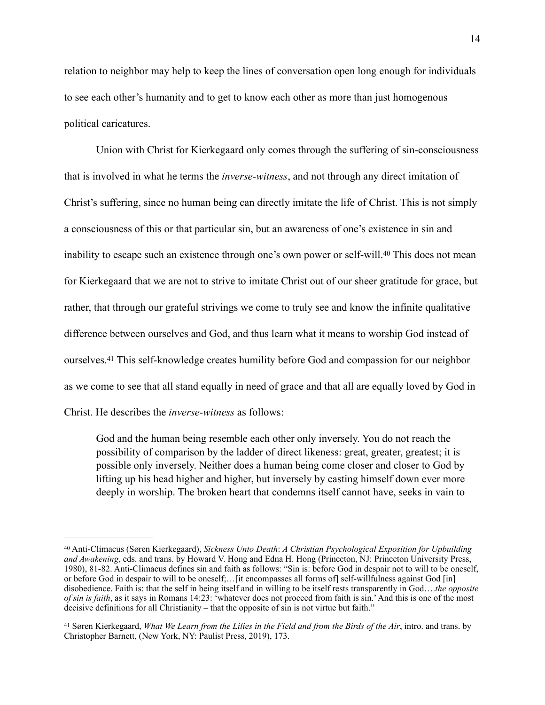relation to neighbor may help to keep the lines of conversation open long enough for individuals to see each other's humanity and to get to know each other as more than just homogenous political caricatures.

<span id="page-14-2"></span>Union with Christ for Kierkegaard only comes through the suffering of sin-consciousness that is involved in what he terms the *inverse-witness*, and not through any direct imitation of Christ's suffering, since no human being can directly imitate the life of Christ. This is not simply a consciousness of this or that particular sin, but an awareness of one's existence in sin and inabilityto escape such an existence through one's own power or self-will.<sup>[40](#page-14-0)</sup> This does not mean for Kierkegaard that we are not to strive to imitate Christ out of our sheer gratitude for grace, but rather, that through our grateful strivings we come to truly see and know the infinite qualitative difference between ourselves and God, and thus learn what it means to worship God instead of ourselves[.](#page-14-1)<sup>[41](#page-14-1)</sup> This self-knowledge creates humility before God and compassion for our neighbor as we come to see that all stand equally in need of grace and that all are equally loved by God in Christ. He describes the *inverse-witness* as follows:

<span id="page-14-3"></span>God and the human being resemble each other only inversely. You do not reach the possibility of comparison by the ladder of direct likeness: great, greater, greatest; it is possible only inversely. Neither does a human being come closer and closer to God by lifting up his head higher and higher, but inversely by casting himself down ever more deeply in worship. The broken heart that condemns itself cannot have, seeks in vain to

<span id="page-14-0"></span>Anti-Climacus (Søren Kierkegaard), *Sickness Unto Death*: *A Christian Psychological Exposition for Upbuilding* [40](#page-14-2) *and Awakening*, eds. and trans. by Howard V. Hong and Edna H. Hong (Princeton, NJ: Princeton University Press, 1980), 81-82. Anti-Climacus defines sin and faith as follows: "Sin is: before God in despair not to will to be oneself, or before God in despair to will to be oneself;…[it encompasses all forms of] self-willfulness against God [in] disobedience. Faith is: that the self in being itself and in willing to be itself rests transparently in God….*the opposite of sin is faith*, as it says in Romans 14:23: 'whatever does not proceed from faith is sin.' And this is one of the most decisive definitions for all Christianity – that the opposite of sin is not virtue but faith."

<span id="page-14-1"></span><sup>&</sup>lt;sup>[41](#page-14-3)</sup> Søren Kierkegaard, *What We Learn from the Lilies in the Field and from the Birds of the Air*, intro. and trans. by Christopher Barnett, (New York, NY: Paulist Press, 2019), 173.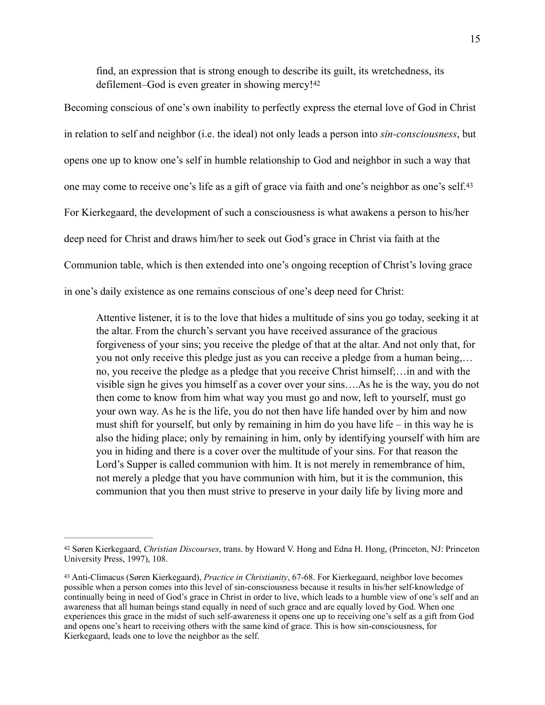<span id="page-15-3"></span><span id="page-15-2"></span>find, an expression that is strong enough to describe its guilt, its wretchedness, its defilement–God is even greater in showing mercy![42](#page-15-0)

Becoming conscious of one's own inability to perfectly express the eternal love of God in Christ in relation to self and neighbor (i.e. the ideal) not only leads a person into *sin-consciousness*, but opens one up to know one's self in humble relationship to God and neighbor in such a way that one may come to receive one's life as a gift of grace via faith and one's neighbor as one's self.[43](#page-15-1) For Kierkegaard, the development of such a consciousness is what awakens a person to his/her deep need for Christ and draws him/her to seek out God's grace in Christ via faith at the Communion table, which is then extended into one's ongoing reception of Christ's loving grace in one's daily existence as one remains conscious of one's deep need for Christ:

Attentive listener, it is to the love that hides a multitude of sins you go today, seeking it at the altar. From the church's servant you have received assurance of the gracious forgiveness of your sins; you receive the pledge of that at the altar. And not only that, for you not only receive this pledge just as you can receive a pledge from a human being,… no, you receive the pledge as a pledge that you receive Christ himself;…in and with the visible sign he gives you himself as a cover over your sins….As he is the way, you do not then come to know from him what way you must go and now, left to yourself, must go your own way. As he is the life, you do not then have life handed over by him and now must shift for yourself, but only by remaining in him do you have life – in this way he is also the hiding place; only by remaining in him, only by identifying yourself with him are you in hiding and there is a cover over the multitude of your sins. For that reason the Lord's Supper is called communion with him. It is not merely in remembrance of him, not merely a pledge that you have communion with him, but it is the communion, this communion that you then must strive to preserve in your daily life by living more and

<span id="page-15-0"></span>Søren Kierkegaard, *Christian Discourses*, trans. by Howard V. Hong and Edna H. Hong, (Princeton, NJ: Princeton [42](#page-15-2) University Press, 1997), 108.

<span id="page-15-1"></span>Anti-Climacus (Søren Kierkegaard), *Practice in Christianity*, 67-68. For Kierkegaard, neighbor love becomes [43](#page-15-3) possible when a person comes into this level of sin-consciousness because it results in his/her self-knowledge of continually being in need of God's grace in Christ in order to live, which leads to a humble view of one's self and an awareness that all human beings stand equally in need of such grace and are equally loved by God. When one experiences this grace in the midst of such self-awareness it opens one up to receiving one's self as a gift from God and opens one's heart to receiving others with the same kind of grace. This is how sin-consciousness, for Kierkegaard, leads one to love the neighbor as the self.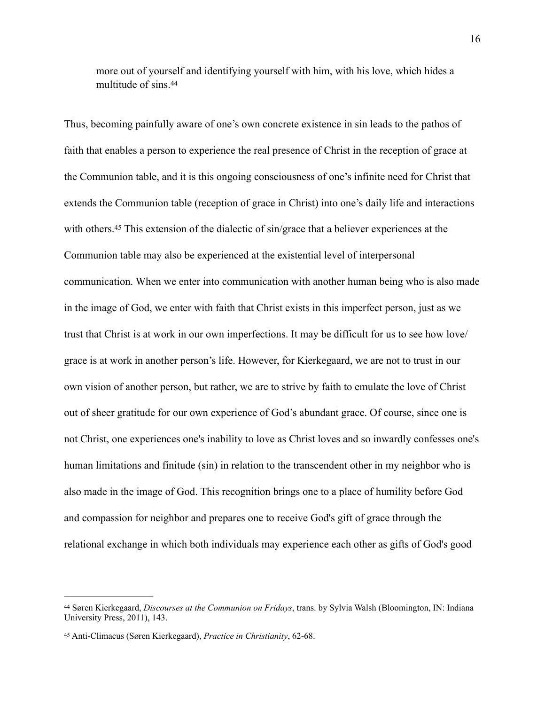<span id="page-16-2"></span>more out of yourself and identifying yourself with him, with his love, which hides a multitude of sins.[44](#page-16-0)

<span id="page-16-3"></span>Thus, becoming painfully aware of one's own concrete existence in sin leads to the pathos of faith that enables a person to experience the real presence of Christ in the reception of grace at the Communion table, and it is this ongoing consciousness of one's infinite need for Christ that extends the Communion table (reception of grace in Christ) into one's daily life and interactions withothers.<sup>[45](#page-16-1)</sup> This extension of the dialectic of sin/grace that a believer experiences at the Communion table may also be experienced at the existential level of interpersonal communication. When we enter into communication with another human being who is also made in the image of God, we enter with faith that Christ exists in this imperfect person, just as we trust that Christ is at work in our own imperfections. It may be difficult for us to see how love/ grace is at work in another person's life. However, for Kierkegaard, we are not to trust in our own vision of another person, but rather, we are to strive by faith to emulate the love of Christ out of sheer gratitude for our own experience of God's abundant grace. Of course, since one is not Christ, one experiences one's inability to love as Christ loves and so inwardly confesses one's human limitations and finitude (sin) in relation to the transcendent other in my neighbor who is also made in the image of God. This recognition brings one to a place of humility before God and compassion for neighbor and prepares one to receive God's gift of grace through the relational exchange in which both individuals may experience each other as gifts of God's good

<span id="page-16-0"></span>Søren Kierkegaard, *Discourses at the Communion on Fridays*, trans. by Sylvia Walsh (Bloomington, IN: Indiana [44](#page-16-2) University Press, 2011), 143.

<span id="page-16-1"></span>Anti-Climacus (Søren Kierkegaard), *Practice in Christianity*, 62-68. [45](#page-16-3)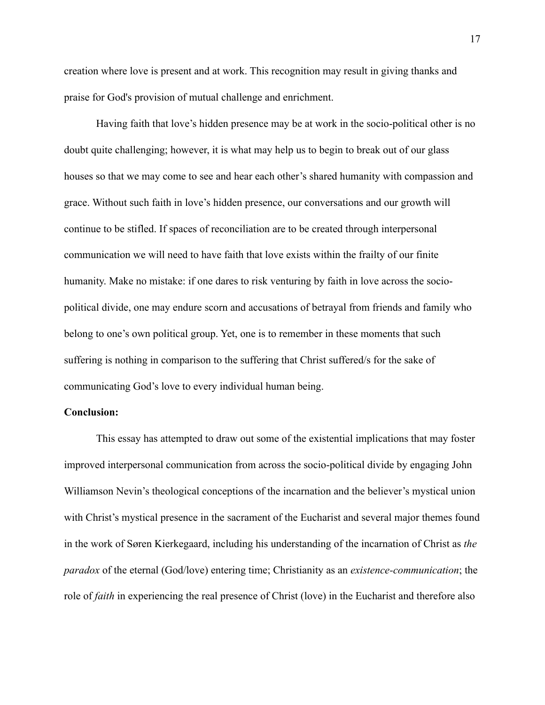creation where love is present and at work. This recognition may result in giving thanks and praise for God's provision of mutual challenge and enrichment.

Having faith that love's hidden presence may be at work in the socio-political other is no doubt quite challenging; however, it is what may help us to begin to break out of our glass houses so that we may come to see and hear each other's shared humanity with compassion and grace. Without such faith in love's hidden presence, our conversations and our growth will continue to be stifled. If spaces of reconciliation are to be created through interpersonal communication we will need to have faith that love exists within the frailty of our finite humanity. Make no mistake: if one dares to risk venturing by faith in love across the sociopolitical divide, one may endure scorn and accusations of betrayal from friends and family who belong to one's own political group. Yet, one is to remember in these moments that such suffering is nothing in comparison to the suffering that Christ suffered/s for the sake of communicating God's love to every individual human being.

# **Conclusion:**

This essay has attempted to draw out some of the existential implications that may foster improved interpersonal communication from across the socio-political divide by engaging John Williamson Nevin's theological conceptions of the incarnation and the believer's mystical union with Christ's mystical presence in the sacrament of the Eucharist and several major themes found in the work of Søren Kierkegaard, including his understanding of the incarnation of Christ as *the paradox* of the eternal (God/love) entering time; Christianity as an *existence-communication*; the role of *faith* in experiencing the real presence of Christ (love) in the Eucharist and therefore also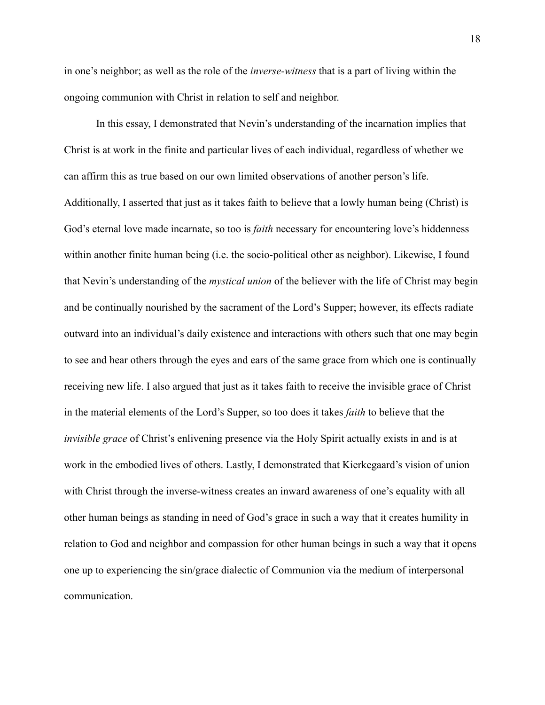in one's neighbor; as well as the role of the *inverse-witness* that is a part of living within the ongoing communion with Christ in relation to self and neighbor.

In this essay, I demonstrated that Nevin's understanding of the incarnation implies that Christ is at work in the finite and particular lives of each individual, regardless of whether we can affirm this as true based on our own limited observations of another person's life. Additionally, I asserted that just as it takes faith to believe that a lowly human being (Christ) is God's eternal love made incarnate, so too is *faith* necessary for encountering love's hiddenness within another finite human being (i.e. the socio-political other as neighbor). Likewise, I found that Nevin's understanding of the *mystical union* of the believer with the life of Christ may begin and be continually nourished by the sacrament of the Lord's Supper; however, its effects radiate outward into an individual's daily existence and interactions with others such that one may begin to see and hear others through the eyes and ears of the same grace from which one is continually receiving new life. I also argued that just as it takes faith to receive the invisible grace of Christ in the material elements of the Lord's Supper, so too does it takes *faith* to believe that the *invisible grace* of Christ's enlivening presence via the Holy Spirit actually exists in and is at work in the embodied lives of others. Lastly, I demonstrated that Kierkegaard's vision of union with Christ through the inverse-witness creates an inward awareness of one's equality with all other human beings as standing in need of God's grace in such a way that it creates humility in relation to God and neighbor and compassion for other human beings in such a way that it opens one up to experiencing the sin/grace dialectic of Communion via the medium of interpersonal communication.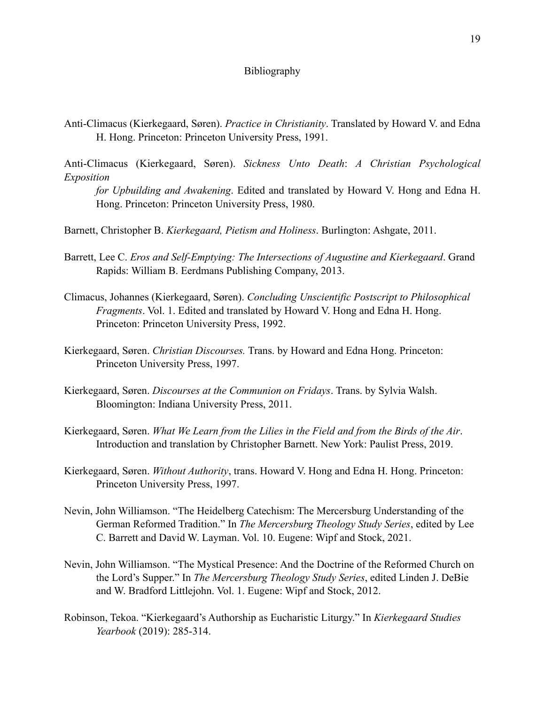# Bibliography

Anti-Climacus (Kierkegaard, Søren). *Practice in Christianity*. Translated by Howard V. and Edna H. Hong. Princeton: Princeton University Press, 1991.

Anti-Climacus (Kierkegaard, Søren). *Sickness Unto Death*: *A Christian Psychological Exposition*

*for Upbuilding and Awakening*. Edited and translated by Howard V. Hong and Edna H. Hong. Princeton: Princeton University Press, 1980.

Barnett, Christopher B. *Kierkegaard, Pietism and Holiness*. Burlington: Ashgate, 2011.

Barrett, Lee C. *Eros and Self-Emptying: The Intersections of Augustine and Kierkegaard*. Grand Rapids: William B. Eerdmans Publishing Company, 2013.

- Climacus, Johannes (Kierkegaard, Søren). *Concluding Unscientific Postscript to Philosophical Fragments*. Vol. 1. Edited and translated by Howard V. Hong and Edna H. Hong. Princeton: Princeton University Press, 1992.
- Kierkegaard, Søren. *Christian Discourses.* Trans. by Howard and Edna Hong. Princeton: Princeton University Press, 1997.
- Kierkegaard, Søren. *Discourses at the Communion on Fridays*. Trans. by Sylvia Walsh. Bloomington: Indiana University Press, 2011.
- Kierkegaard, Søren. *What We Learn from the Lilies in the Field and from the Birds of the Air*. Introduction and translation by Christopher Barnett. New York: Paulist Press, 2019.
- Kierkegaard, Søren. *Without Authority*, trans. Howard V. Hong and Edna H. Hong. Princeton: Princeton University Press, 1997.
- Nevin, John Williamson. "The Heidelberg Catechism: The Mercersburg Understanding of the German Reformed Tradition." In *The Mercersburg Theology Study Series*, edited by Lee C. Barrett and David W. Layman. Vol. 10. Eugene: Wipf and Stock, 2021.
- Nevin, John Williamson. "The Mystical Presence: And the Doctrine of the Reformed Church on the Lord's Supper." In *The Mercersburg Theology Study Series*, edited Linden J. DeBie and W. Bradford Littlejohn. Vol. 1. Eugene: Wipf and Stock, 2012.
- Robinson, Tekoa. "Kierkegaard's Authorship as Eucharistic Liturgy." In *Kierkegaard Studies Yearbook* (2019): 285-314.